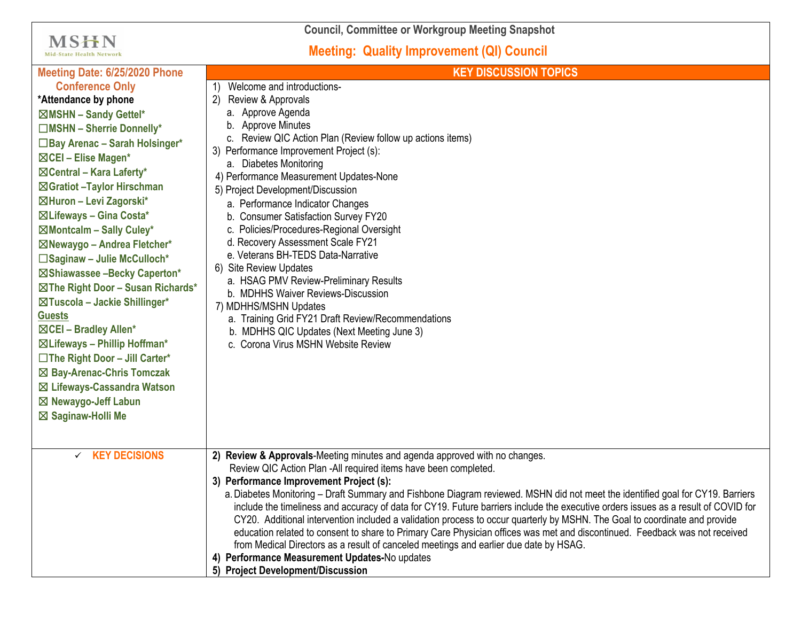**Council, Committee or Workgroup Meeting Snapshot**

**MSHN** Mid-State Health Network

## **Meeting: Quality Improvement (QI) Council**

| Meeting Date: 6/25/2020 Phone        | <b>KEY DISCUSSION TOPICS</b>                                                                                                       |
|--------------------------------------|------------------------------------------------------------------------------------------------------------------------------------|
| <b>Conference Only</b>               | Welcome and introductions-                                                                                                         |
| *Attendance by phone                 | Review & Approvals<br>2)                                                                                                           |
| ⊠MSHN - Sandy Gettel*                | a. Approve Agenda                                                                                                                  |
| $\Box$ MSHN - Sherrie Donnelly*      | b. Approve Minutes                                                                                                                 |
| □ Bay Arenac - Sarah Holsinger*      | c. Review QIC Action Plan (Review follow up actions items)                                                                         |
| ⊠CEI - Elise Magen*                  | 3) Performance Improvement Project (s):<br>a. Diabetes Monitoring                                                                  |
| $\boxtimes$ Central – Kara Laferty*  | 4) Performance Measurement Updates-None                                                                                            |
| ⊠Gratiot -Taylor Hirschman           | 5) Project Development/Discussion                                                                                                  |
| ⊠Huron - Levi Zagorski*              | a. Performance Indicator Changes                                                                                                   |
| ⊠Lifeways - Gina Costa*              | b. Consumer Satisfaction Survey FY20                                                                                               |
| ⊠Montcalm - Sally Culey*             | c. Policies/Procedures-Regional Oversight                                                                                          |
| ⊠Newaygo - Andrea Fletcher*          | d. Recovery Assessment Scale FY21                                                                                                  |
| □Saginaw - Julie McCulloch*          | e. Veterans BH-TEDS Data-Narrative                                                                                                 |
| ⊠Shiawassee -Becky Caperton*         | 6) Site Review Updates                                                                                                             |
| ⊠The Right Door - Susan Richards*    | a. HSAG PMV Review-Preliminary Results                                                                                             |
| ⊠Tuscola - Jackie Shillinger*        | b. MDHHS Waiver Reviews-Discussion                                                                                                 |
| <b>Guests</b>                        | 7) MDHHS/MSHN Updates                                                                                                              |
| ⊠CEI - Bradley Allen*                | a. Training Grid FY21 Draft Review/Recommendations                                                                                 |
| ⊠ Lifeways - Phillip Hoffman*        | b. MDHHS QIC Updates (Next Meeting June 3)<br>c. Corona Virus MSHN Website Review                                                  |
| □The Right Door - Jill Carter*       |                                                                                                                                    |
| ⊠ Bay-Arenac-Chris Tomczak           |                                                                                                                                    |
| ⊠ Lifeways-Cassandra Watson          |                                                                                                                                    |
| ⊠ Newaygo-Jeff Labun                 |                                                                                                                                    |
|                                      |                                                                                                                                    |
| ⊠ Saginaw-Holli Me                   |                                                                                                                                    |
|                                      |                                                                                                                                    |
| <b>KEY DECISIONS</b><br>$\checkmark$ | 2) Review & Approvals-Meeting minutes and agenda approved with no changes.                                                         |
|                                      | Review QIC Action Plan -All required items have been completed.                                                                    |
|                                      | 3) Performance Improvement Project (s):                                                                                            |
|                                      | a. Diabetes Monitoring - Draft Summary and Fishbone Diagram reviewed. MSHN did not meet the identified goal for CY19. Barriers     |
|                                      | include the timeliness and accuracy of data for CY19. Future barriers include the executive orders issues as a result of COVID for |
|                                      | CY20. Additional intervention included a validation process to occur quarterly by MSHN. The Goal to coordinate and provide         |
|                                      | education related to consent to share to Primary Care Physician offices was met and discontinued. Feedback was not received        |
|                                      | from Medical Directors as a result of canceled meetings and earlier due date by HSAG.                                              |
|                                      | 4) Performance Measurement Updates-No updates<br>5) Project Development/Discussion                                                 |
|                                      |                                                                                                                                    |